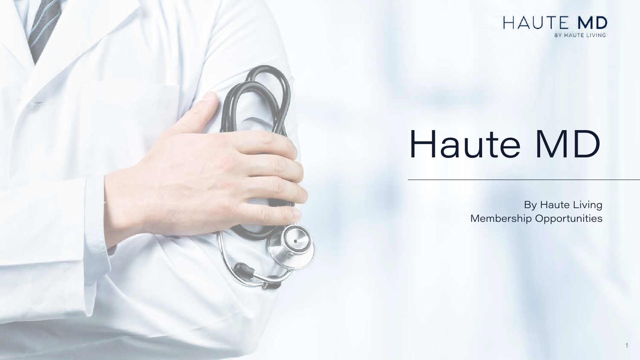1





# Haute MD

By Haute Living Membership Opportunities

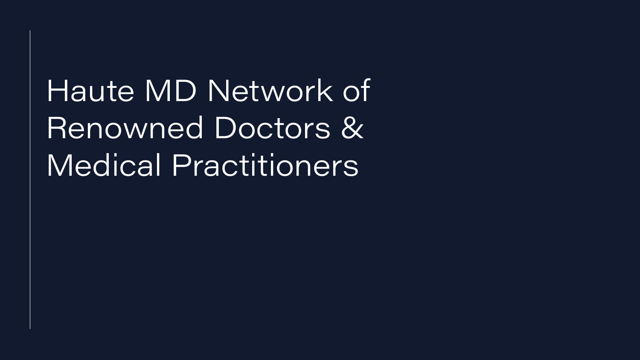# Haute MD Network of Renowned Doctors & Medical Practitioners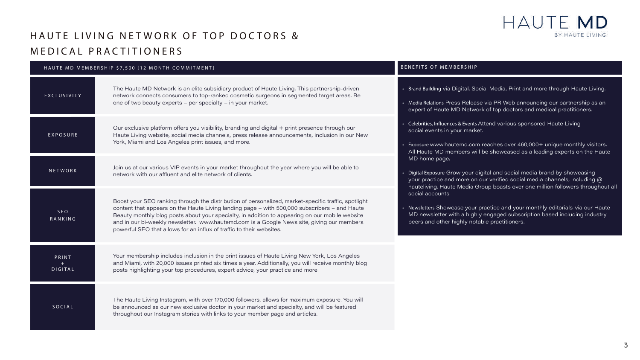3

### HAUTE LIVING NETWORK OF TOP DOCTORS & MEDICAL PRACTITIONERS

#### HAUTE MD MEMBERSHIP \$7,500 [12 MONTH COMMITMENT]

| HAUTE MD MEMBERSHIP \$7,500 [12 MONTH COMMITMENT] |                                                                                                                                                                                                                                                                                                                                                                                                                                                                             | BENEFITS OF MEMBERSHIP                                                                                                                                                                                                                                                             |
|---------------------------------------------------|-----------------------------------------------------------------------------------------------------------------------------------------------------------------------------------------------------------------------------------------------------------------------------------------------------------------------------------------------------------------------------------------------------------------------------------------------------------------------------|------------------------------------------------------------------------------------------------------------------------------------------------------------------------------------------------------------------------------------------------------------------------------------|
| EXCLUSIVITY                                       | The Haute MD Network is an elite subsidiary product of Haute Living. This partnership-driven<br>network connects consumers to top-ranked cosmetic surgeons in segmented target areas. Be<br>one of two beauty experts - per specialty - in your market.                                                                                                                                                                                                                     | • Brand Building via Digital, Social Media, Print and more through Haute Living.<br>• Media Relations Press Release via PR Web announcing our partnership as an<br>expert of Haute MD Network of top doctors and medical practitioners.                                            |
| EXPOSURE                                          | Our exclusive platform offers you visibility, branding and digital + print presence through our<br>Haute Living website, social media channels, press release announcements, inclusion in our New<br>York, Miami and Los Angeles print issues, and more.                                                                                                                                                                                                                    | Celebrities, Influences & Events Attend various sponsored Haute Living<br>social events in your market.<br>• Exposure www.hautemd.com reaches over 460,000+ unique monthly visitors.<br>All Haute MD members will be showcased as a leading experts on the Haute                   |
| NETWORK                                           | Join us at our various VIP events in your market throughout the year where you will be able to<br>network with our affluent and elite network of clients.                                                                                                                                                                                                                                                                                                                   | MD home page.<br>• Digital Exposure Grow your digital and social media brand by showcasing<br>your practice and more on our verified social media channels, including @<br>hauteliving. Haute Media Group boasts over one million followers throughout all                         |
| SEO<br>RANKING                                    | Boost your SEO ranking through the distribution of personalized, market-specific traffic, spotlight<br>content that appears on the Haute Living landing page - with 500,000 subscribers - and Haute<br>Beauty monthly blog posts about your specialty, in addition to appearing on our mobile website<br>and in our bi-weekly newsletter. www.hautemd.com is a Google News site, giving our members<br>powerful SEO that allows for an influx of traffic to their websites. | social accounts.<br>• Newsletters Showcase your practice and your monthly editorials via our Haute<br>$\overline{\phantom{a}}$ MD newsletter with a highly engaged subscription based including industry $\overline{\phantom{a}}$<br>peers and other highly notable practitioners. |
| PRINT<br>DIGITAL                                  | Your membership includes inclusion in the print issues of Haute Living New York, Los Angeles<br>and Miami, with 20,000 issues printed six times a year. Additionally, you will receive monthly blog<br>posts highlighting your top procedures, expert advice, your practice and more.                                                                                                                                                                                       |                                                                                                                                                                                                                                                                                    |
| SOCIAL                                            | The Haute Living Instagram, with over 170,000 followers, allows for maximum exposure. You will<br>be announced as our new exclusive doctor in your market and specialty, and will be featured<br>throughout our Instagram stories with links to your member page and articles.                                                                                                                                                                                              |                                                                                                                                                                                                                                                                                    |

#### HAUTE MD BY HAUTE LIVING



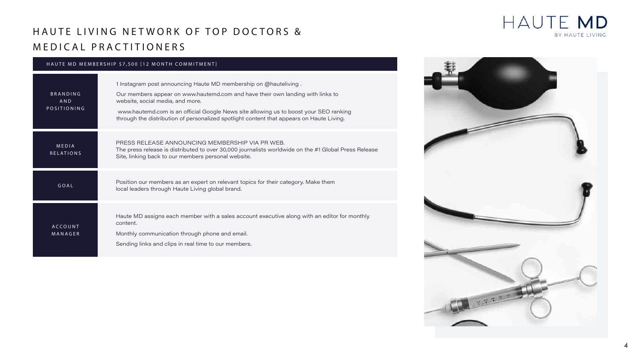

#### HAUTE MD MEMBERSHIP \$7,500 [12 MONTH COMMITMENT]

| <b>BRANDING</b><br>AND<br>POSITIONING | 1 Instagram post announcing Haute MD membership on @hauteliving.<br>Our members appear on www.hautemd.com and have their own landin<br>website, social media, and more.<br>www.hautemd.com is an official Google News site allowing us to boos<br>through the distribution of personalized spotlight content that appears |
|---------------------------------------|---------------------------------------------------------------------------------------------------------------------------------------------------------------------------------------------------------------------------------------------------------------------------------------------------------------------------|
| <b>MEDIA</b><br><b>RELATIONS</b>      | PRESS RELEASE ANNOUNCING MEMBERSHIP VIA PR WEB.<br>The press release is distributed to over 30,000 journalists worldwide or<br>Site, linking back to our members personal website.                                                                                                                                        |
| GOAL                                  | Position our members as an expert on relevant topics for their category<br>local leaders through Haute Living global brand.                                                                                                                                                                                               |
| <b>ACCOUNT</b><br>MANAGER             | Haute MD assigns each member with a sales account executive along<br>content.<br>Monthly communication through phone and email.<br>Sending links and clips in real time to our members.                                                                                                                                   |

#### HAUTE MD BY HAUTE LIVING



ng with links to

st your SEO ranking through the distribution of personalized spotling.

In the #1 Global Press Release

y. Make them

) with an editor for monthly



# HAUTE LIVING NETWORK OF TOP DOCTORS & MEDICAL PRACTITIONERS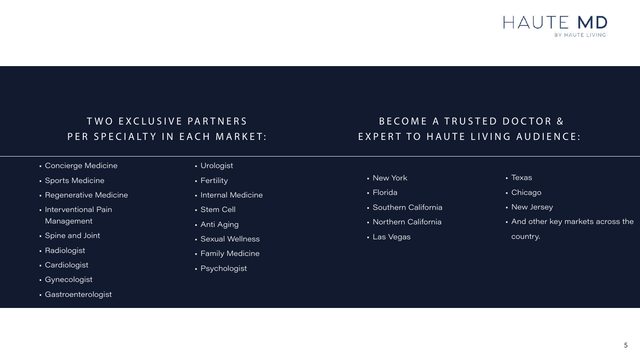

- New York
- Florida
- Southern California
- Northern California
- Las Vegas

# T WO EXCLUSIVE PARTNERS PER SPECIALTY IN EACH MARKET:

- Texas
- Chicago
- New Jersey
- And other key markets across the country.



### BECOME A TRUSTED DOCTOR & EXPERT TO HAUTE LIVING AUDIENCE:

- Concierge Medicine
- Sports Medicine
- Regenerative Medicine
- Interventional Pain Management
- Spine and Joint
- Radiologist
- Cardiologist
- Gynecologist
- Gastroenterologist
- Urologist
- Fertility
- Internal Medicine
- Stem Cell
- Anti Aging
- Sexual Wellness
- Family Medicine
- Psychologist